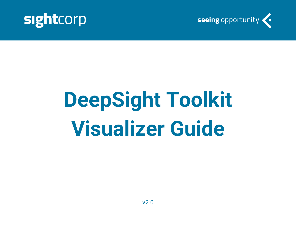



# **DeepSight Toolkit Visualizer Guide**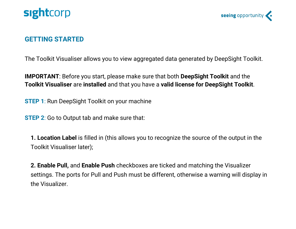



#### **GETTING STARTED**

The Toolkit Visualiser allows you to view aggregated data generated by DeepSight Toolkit.

**IMPORTANT**: Before you start, please make sure that both **DeepSight Toolkit** and the **Toolkit Visualiser** are **installed** and that you have a **valid license for DeepSight Toolkit**.

**STEP 1**: Run DeepSight Toolkit on your machine

**STEP 2**: Go to Output tab and make sure that:

**1. Location Label** is filled in (this allows you to recognize the source of the output in the Toolkit Visualiser later);

**2. Enable Pull,** and **Enable Push** checkboxes are ticked and matching the Visualizer settings. The ports for Pull and Push must be different, otherwise a warning will display in the Visualizer.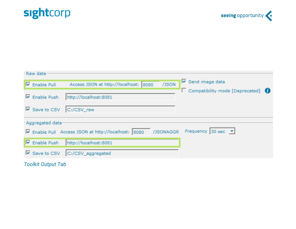



| - Raw data                                                                                     |                                        |                                                                                    |  |  |  |  |  |
|------------------------------------------------------------------------------------------------|----------------------------------------|------------------------------------------------------------------------------------|--|--|--|--|--|
|                                                                                                |                                        |                                                                                    |  |  |  |  |  |
|                                                                                                | Enable Pull                            | $\triangleright$ Send image data<br>/JSON<br>Access JSON at http://localhost: 8080 |  |  |  |  |  |
|                                                                                                | $\overline{\triangledown}$ Enable Push | $\Box$ Compatibility mode [Deprecated] $\bigcirc$<br>http://localhost:8081         |  |  |  |  |  |
|                                                                                                | $\overline{\triangledown}$ Save to CSV | C:/CSV_raw                                                                         |  |  |  |  |  |
| - Aggregated data                                                                              |                                        |                                                                                    |  |  |  |  |  |
| Frequency 30 sec $\bullet$<br>/JSONAGGR<br>□ Enable Pull Access JSON at http://localhost: 8080 |                                        |                                                                                    |  |  |  |  |  |
|                                                                                                | $\overline{\triangledown}$ Enable Push | http://localhost:8081                                                              |  |  |  |  |  |
|                                                                                                | $\overline{\triangledown}$ Save to CSV | C:/CSV_aggregated                                                                  |  |  |  |  |  |

*Toolkit Output Tab*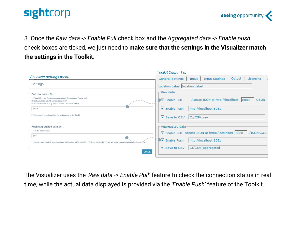



3. Once the *Raw data -> Enable Pull* check box and the *Aggregated data -> Enable push* check boxes are ticked, we just need to **make sure that the settings in the Visualizer match the settings in the Toolkit**:

| Toolkit Output Tab                                                        |  |  |
|---------------------------------------------------------------------------|--|--|
| General Settings<br><b>Input Settings</b><br>Output<br>Licensing<br>Input |  |  |
| Location Label  location_label                                            |  |  |
| – Raw data <sup>.</sup>                                                   |  |  |
| $\nabla$ Enable Pull<br>Access JSON at http://localhost: 8080<br>/JSON    |  |  |
| $\overline{\triangledown}$ Enable Push<br>http://localhost:8081           |  |  |
| $\overline{\triangledown}$ Save to CSV<br>C:/CSV_raw                      |  |  |
| Aggregated data                                                           |  |  |
| □ Enable Pull Access JSON at http://localhost: 8080<br>/JSONAGGR          |  |  |
| $\overline{\triangledown}$ Enable Push<br>http://localhost:8081           |  |  |
| $\overline{\triangledown}$ Save to CSV<br>C:/CSV_aggregated               |  |  |
|                                                                           |  |  |

The Visualizer uses the *'Raw data -> Enable Pull'* feature to check the connection status in real time, while the actual data displayed is provided via the *'Enable Push'* feature of the Toolkit.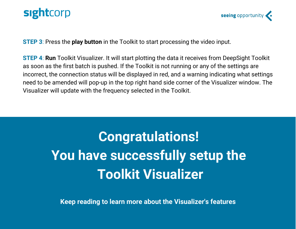



**STEP 3**: Press the **play button** in the Toolkit to start processing the video input.

**STEP 4**: **Run** Toolkit Visualizer. It will start plotting the data it receives from DeepSight Toolkit as soon as the first batch is pushed. If the Toolkit is not running or any of the settings are incorrect, the connection status will be displayed in red, and a warning indicating what settings need to be amended will pop-up in the top right hand side corner of the Visualizer window. The Visualizer will update with the frequency selected in the Toolkit.

## **Congratulations! You have successfully setup the Toolkit Visualizer**

**Keep reading to learn more about the Visualizer's features**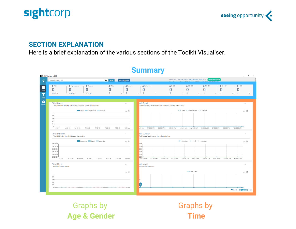



#### **SECTION EXPLANATION**

Here is a brief explanation of the various sections of the Toolkit Visualiser.

| $\Box$ Now<br>14-February-2020                                                                                                                                                | location label                                 | Deepsight Toolkit pull data @ http://localhost:8080/JSON   Connection Status<br><b>CALIFY OF CHAINS AND CHOOSE AND MORE AND ARRAIGNMENT</b><br><b>COLLA</b>                                                                                                                |
|-------------------------------------------------------------------------------------------------------------------------------------------------------------------------------|------------------------------------------------|----------------------------------------------------------------------------------------------------------------------------------------------------------------------------------------------------------------------------------------------------------------------------|
| $\triangle$ Total<br><b>A</b> Male<br>4 Impressions<br>Silvers<br>0<br>O<br>0<br>O<br>$\mathbf{0}$<br>00:00:00<br>00:00:00<br>00:00:00                                        | & Female<br>$\overline{0}$<br>$\bullet$        | & Unknown<br>$0 - 29$<br>$230 - 39$<br>$240 - 49$<br>$250 - 59$<br>$2 + 60$<br>Ω<br>⋂<br>0<br>0<br>O<br>$\theta$<br>$\overline{0}$<br>$\overline{0}$<br>$\theta$<br>$0-1$<br>$\overline{\phantom{0}}$<br>$0-1$<br>$\bullet$<br>$0-1$<br>$\overline{0}$<br>$\circ$<br>$0-1$ |
| <b>Total Count</b><br>The total number of people, impressions and viewers detected by the camera                                                                              | $\curvearrowright$                             | <b>Ital Count</b><br>$\mathcal{N}_\mathrm{c}$<br>he total number of people, impressions and viewers detected by the camera                                                                                                                                                 |
| Total Impressions Viewers<br>$\overline{1}$<br>0.8<br>0.6<br>0.4<br>0.2<br>$\Omega$<br>M 20-29<br>M 0-9<br>M 40-49<br>$M + 60$<br>F 10-19<br>F 30-39<br><b>Total Duration</b> | 火目<br>F 50-59<br>Unknown<br>$\curvearrowright$ | -O-Total -O-Impressions -O-Viewers<br>火目<br>ծ⊳ ∩<br>:00 AM<br>1:10:00 AM<br>2:20:00 AM<br>3:30:00 AM<br>4:40:00 AM<br>5:50:00 AM<br>7:00:00 AM<br>8:10:00 AM<br>9:20:00 AM<br>10:30:00 AM<br><b>Ital Duration</b><br>$\curvearrowright$                                    |
| The total detection time, dwell time and attention time.<br>Detection Dwell Attention<br>00:00:00<br>00:00:00<br>00:00:00<br>00:00:00<br>00:00:00                             | △ 目                                            | he total detection time, dwell time and attention time<br>-O- Detection -O- Dwell -O- Attention<br>→ ■<br>$0:00 -$<br>$0:00 -$<br>$b:00 -$<br>$0:00 -$<br>$b:00 -$                                                                                                         |
| 00:00:00<br>M 0-9<br>M 20-29<br>M 40-49<br>$M + 60$<br>F 10-19<br>F 30-39<br><b>Total Mood</b><br>Maximum smile for viewers                                                   | F 50-59<br>Unknow<br>$\widehat{\phantom{a}}$   | $0:00 +$<br>12:00:00 AM<br>1:10:00 AM<br>2:20:00 AM<br>3:30:00 AM<br>4:40:00 AM<br>5:50:00 AM<br>7:00:00 AM<br>8:10:00 AM<br>9:20:00 AM<br>10:30:00 AM<br><b>Ital Mood</b><br>$\curvearrowright$<br>werage smile for viewers                                               |
| 1<br>0.8<br>0.6<br>0.4<br>0.2                                                                                                                                                 | → 目                                            | -O- Avg Smile<br>火日<br>l o                                                                                                                                                                                                                                                 |

#### **Summary**

Graphs by **Age & Gender**

Graphs by **Time**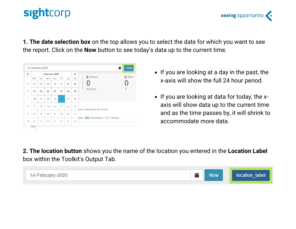

**1. The date selection box** on the top allows you to select the date for which you want to see the report. Click on the **Now** button to see today's data up to the current time.



- If you are looking at a day in the past, the x-axis will show the full 24 hour period.
- If you are looking at data for today, the xaxis will show data up to the current time and as the time passes by, it will shrink to accommodate more data.

**2. The location button** shows you the name of the location you entered in the **Location Label** box within the Toolkit's Output Tab.

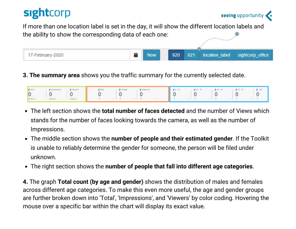If more than one location label is set in the day, it will show the different location labels and the ability to show the corresponding data of each one:



**3. The summary area** shows you the traffic summary for the currently selected date.



- The left section shows the **total number of faces detected** and the number of Views which stands for the number of faces looking towards the camera, as well as the number of Impressions.
- The middle section shows the **number of people and their estimated gender**. If the Toolkit is unable to reliably determine the gender for someone, the person will be filed under unknown.
- The right section shows the **number of people that fall into different age categories**.

**4.** The graph **Total count (by age and gender)** shows the distribution of males and females across different age categories. To make this even more useful, the age and gender groups are further broken down into 'Total', 'Impressions', and 'Viewers' by color coding. Hovering the mouse over a specific bar within the chart will display its exact value.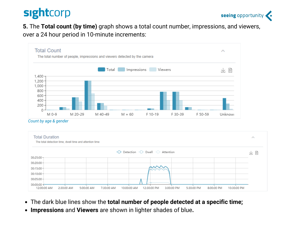

**5.** The **Total count (by time)** graph shows a total count number, impressions, and viewers, over a 24 hour period in 10-minute increments:



*Count by age & gender*



- The dark blue lines show the **total number of people detected at a specific time;**
- **Impressions** and **Viewers** are shown in lighter shades of blue**.**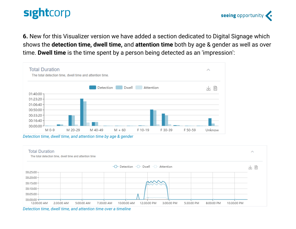seeing opportunity

**6.** New for this Visualizer version we have added a section dedicated to Digital Signage which shows the **detection time, dwell time,** and **attention time** both by age & gender as well as over time. **Dwell time** is the time spent by a person being detected as an 'impression':



*Detection time, dwell time, and attention time by age & gender*



*Detection time, dwell time, and attention time over a timeline*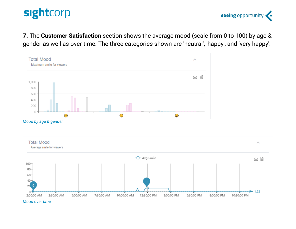seeing opportunity

**7.** The **Customer Satisfaction** section shows the average mood (scale from 0 to 100) by age & gender as well as over time. The three categories shown are 'neutral', 'happy', and 'very happy'.





*Mood over time*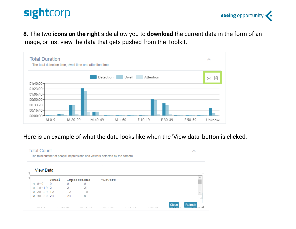



**8.** The two **icons on the right** side allow you to **download** the current data in the form of an image, or just view the data that gets pushed from the Toolkit.



#### Here is an example of what the data looks like when the 'View data' button is clicked:

#### **Total Count** Ä The total number of people, impressions and viewers detected by the camera **View Data** Total Impressions Viewers  $\circ$  $M$   $0-9$  $\Omega$ 0  $\overline{a}$  $10 - 192$ 2 М 12 М  $20 - 29$  12 10  $30 - 3924$ 24 8 М **Close Refresh**  $\sim$   $\sim$   $\sim$   $\sim$  $\cdots \cdots \cdots \cdots$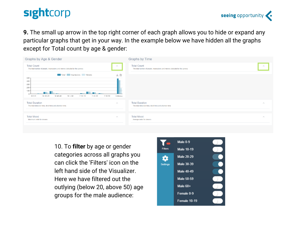**9.** The small up arrow in the top right corner of each graph allows you to hide or expand any particular graphs that get in your way. In the example below we have hidden all the graphs except for Total count by age & gender:

| Graphs by Age & Gender                                                                                                                                                                       | <b>Graphs by Time</b>                                                                                        |  |  |
|----------------------------------------------------------------------------------------------------------------------------------------------------------------------------------------------|--------------------------------------------------------------------------------------------------------------|--|--|
| <b>Total Count</b><br>$\wedge$<br>The total number of people, impressions and viewers detected by the camera<br>Total Impressions Viewers<br>→ ト<br>$500 -$<br>$400 -$<br>$300 -$<br>$200 -$ | <b>Total Count</b><br>$\wedge$<br>The total number of people, impressions and viewers detected by the camera |  |  |
| $100 -$<br><b>State of Action</b><br>Unknowr<br>M 20-29<br>M 40-49<br>$M + 60$<br>F 10-19<br>F 30-39<br>F 50-59<br>M 0-9                                                                     |                                                                                                              |  |  |
| <b>Total Duration</b><br>$\curvearrowright$<br>The total detection time, dwell time and attention time.                                                                                      | <b>Total Duration</b><br>$\curvearrowright$<br>The total detection time, dwell time and attention time       |  |  |
| <b>Total Mood</b><br>$\curvearrowright$<br>Maximum smile for viewers                                                                                                                         | <b>Total Mood</b><br>$\curvearrowright$<br>Average smile for viewers                                         |  |  |
|                                                                                                                                                                                              |                                                                                                              |  |  |

10. To **filter** by age or gender categories across all graphs you can click the 'Filters' icon on the left hand side of the Visualizer. Here we have filtered out the outlying (below 20, above 50) age groups for the male audience:

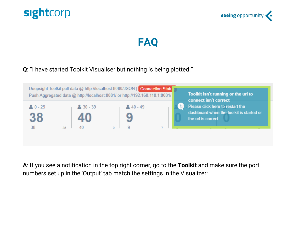





#### **Q**: "I have started Toolkit Visualiser but nothing is being plotted."



**A**: If you see a notification in the top right corner, go to the **Toolkit** and make sure the port numbers set up in the 'Output' tab match the settings in the Visualizer: